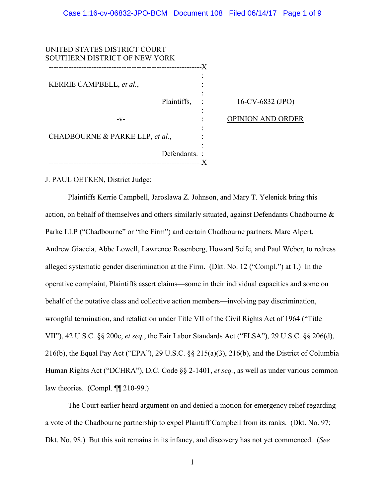| UNITED STATES DISTRICT COURT<br>SOUTHERN DISTRICT OF NEW YORK |              |    |                          |
|---------------------------------------------------------------|--------------|----|--------------------------|
|                                                               |              | -X |                          |
| KERRIE CAMPBELL, et al.,                                      |              |    |                          |
|                                                               | Plaintiffs,  |    | 16-CV-6832 (JPO)         |
| $-V-$                                                         |              |    | <b>OPINION AND ORDER</b> |
| CHADBOURNE & PARKE LLP, et al.,                               |              |    |                          |
|                                                               | Defendants.: |    |                          |
|                                                               |              |    |                          |

J. PAUL OETKEN, District Judge:

Plaintiffs Kerrie Campbell, Jaroslawa Z. Johnson, and Mary T. Yelenick bring this action, on behalf of themselves and others similarly situated, against Defendants Chadbourne & Parke LLP ("Chadbourne" or "the Firm") and certain Chadbourne partners, Marc Alpert, Andrew Giaccia, Abbe Lowell, Lawrence Rosenberg, Howard Seife, and Paul Weber, to redress alleged systematic gender discrimination at the Firm. (Dkt. No. 12 ("Compl.") at 1.) In the operative complaint, Plaintiffs assert claims—some in their individual capacities and some on behalf of the putative class and collective action members—involving pay discrimination, wrongful termination, and retaliation under Title VII of the Civil Rights Act of 1964 ("Title VII"), 42 U.S.C. §§ 200e, *et seq.*, the Fair Labor Standards Act ("FLSA"), 29 U.S.C. §§ 206(d), 216(b), the Equal Pay Act ("EPA"), 29 U.S.C. §§ 215(a)(3), 216(b), and the District of Columbia Human Rights Act ("DCHRA"), D.C. Code §§ 2-1401, *et seq.*, as well as under various common law theories. (Compl. ¶¶ 210-99.)

The Court earlier heard argument on and denied a motion for emergency relief regarding a vote of the Chadbourne partnership to expel Plaintiff Campbell from its ranks. (Dkt. No. 97; Dkt. No. 98.) But this suit remains in its infancy, and discovery has not yet commenced. (*See*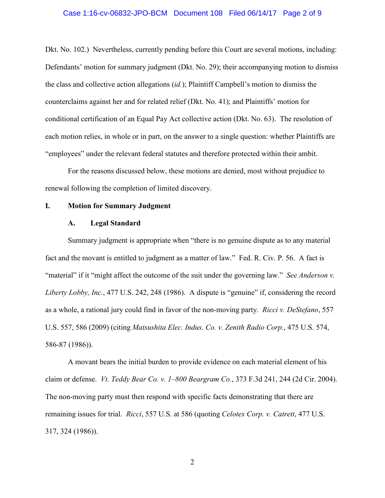#### Case 1:16-cv-06832-JPO-BCM Document 108 Filed 06/14/17 Page 2 of 9

Dkt. No. 102.) Nevertheless, currently pending before this Court are several motions, including: Defendants' motion for summary judgment (Dkt. No. 29); their accompanying motion to dismiss the class and collective action allegations (*id.*); Plaintiff Campbell's motion to dismiss the counterclaims against her and for related relief (Dkt. No. 41); and Plaintiffs' motion for conditional certification of an Equal Pay Act collective action (Dkt. No. 63). The resolution of each motion relies, in whole or in part, on the answer to a single question: whether Plaintiffs are "employees" under the relevant federal statutes and therefore protected within their ambit.

For the reasons discussed below, these motions are denied, most without prejudice to renewal following the completion of limited discovery.

## **I. Motion for Summary Judgment**

#### **A. Legal Standard**

Summary judgment is appropriate when "there is no genuine dispute as to any material fact and the movant is entitled to judgment as a matter of law." Fed. R. Civ. P. 56. A fact is "material" if it "might affect the outcome of the suit under the governing law." *See Anderson v. Liberty Lobby, Inc.*, 477 U.S. 242, 248 (1986). A dispute is "genuine" if, considering the record as a whole, a rational jury could find in favor of the non-moving party. *Ricci v. DeStefano*, 557 U.S. 557, 586 (2009) (citing *Matsushita Elec. Indus. Co. v. Zenith Radio Corp.*, 475 U.S. 574, 586-87 (1986)).

A movant bears the initial burden to provide evidence on each material element of his claim or defense. *Vt. Teddy Bear Co. v. 1–800 Beargram Co.*, 373 F.3d 241, 244 (2d Cir. 2004). The non-moving party must then respond with specific facts demonstrating that there are remaining issues for trial. *Ricci*, 557 U.S. at 586 (quoting *Celotex Corp. v. Catrett*, 477 U.S. 317, 324 (1986)).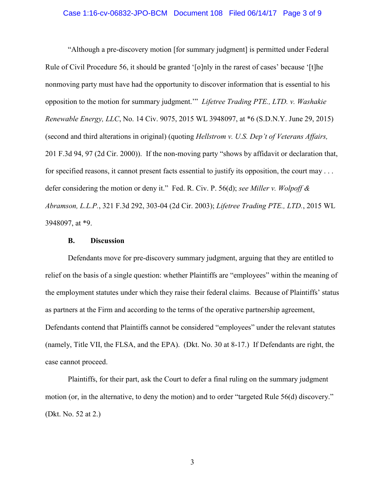#### Case 1:16-cv-06832-JPO-BCM Document 108 Filed 06/14/17 Page 3 of 9

"Although a pre-discovery motion [for summary judgment] is permitted under Federal Rule of Civil Procedure 56, it should be granted '[o]nly in the rarest of cases' because '[t]he nonmoving party must have had the opportunity to discover information that is essential to his opposition to the motion for summary judgment.'" *Lifetree Trading PTE., LTD. v. Washakie Renewable Energy, LLC*, No. 14 Civ. 9075, 2015 WL 3948097, at \*6 (S.D.N.Y. June 29, 2015) (second and third alterations in original) (quoting *Hellstrom v. U.S. Dep't of Veterans Affairs,* 201 F.3d 94, 97 (2d Cir. 2000)). If the non-moving party "shows by affidavit or declaration that, for specified reasons, it cannot present facts essential to justify its opposition, the court may . . . defer considering the motion or deny it." Fed. R. Civ. P. 56(d); *see Miller v. Wolpoff & Abramson, L.L.P.*, 321 F.3d 292, 303-04 (2d Cir. 2003); *Lifetree Trading PTE., LTD.*, 2015 WL 3948097, at \*9.

## **B. Discussion**

Defendants move for pre-discovery summary judgment, arguing that they are entitled to relief on the basis of a single question: whether Plaintiffs are "employees" within the meaning of the employment statutes under which they raise their federal claims. Because of Plaintiffs' status as partners at the Firm and according to the terms of the operative partnership agreement, Defendants contend that Plaintiffs cannot be considered "employees" under the relevant statutes (namely, Title VII, the FLSA, and the EPA). (Dkt. No. 30 at 8-17.) If Defendants are right, the case cannot proceed.

Plaintiffs, for their part, ask the Court to defer a final ruling on the summary judgment motion (or, in the alternative, to deny the motion) and to order "targeted Rule 56(d) discovery." (Dkt. No. 52 at 2.)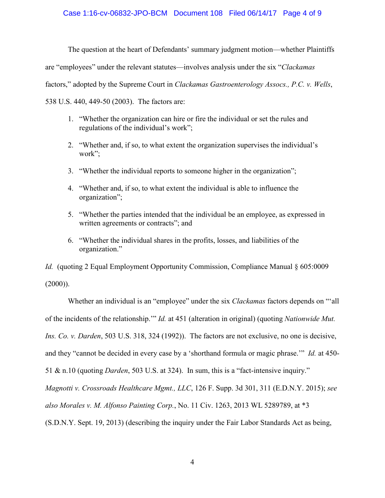## Case 1:16-cv-06832-JPO-BCM Document 108 Filed 06/14/17 Page 4 of 9

The question at the heart of Defendants' summary judgment motion—whether Plaintiffs

are "employees" under the relevant statutes—involves analysis under the six "*Clackamas*

factors," adopted by the Supreme Court in *Clackamas Gastroenterology Assocs., P.C. v. Wells*,

538 U.S. 440, 449-50 (2003). The factors are:

- 1. "Whether the organization can hire or fire the individual or set the rules and regulations of the individual's work";
- 2. "Whether and, if so, to what extent the organization supervises the individual's work";
- 3. "Whether the individual reports to someone higher in the organization";
- 4. "Whether and, if so, to what extent the individual is able to influence the organization";
- 5. "Whether the parties intended that the individual be an employee, as expressed in written agreements or contracts"; and
- 6. "Whether the individual shares in the profits, losses, and liabilities of the organization."

*Id.* (quoting 2 Equal Employment Opportunity Commission, Compliance Manual § 605:0009  $(2000)$ ).

Whether an individual is an "employee" under the six *Clackamas* factors depends on "'all of the incidents of the relationship.'" *Id.* at 451 (alteration in original) (quoting *Nationwide Mut. Ins. Co. v. Darden*, 503 U.S. 318, 324 (1992)). The factors are not exclusive, no one is decisive, and they "cannot be decided in every case by a 'shorthand formula or magic phrase.'" *Id.* at 450- 51 & n.10 (quoting *Darden*, 503 U.S. at 324). In sum, this is a "fact-intensive inquiry." *Magnotti v. Crossroads Healthcare Mgmt., LLC*, 126 F. Supp. 3d 301, 311 (E.D.N.Y. 2015); *see also Morales v. M. Alfonso Painting Corp.*, No. 11 Civ. 1263, 2013 WL 5289789, at \*3

(S.D.N.Y. Sept. 19, 2013) (describing the inquiry under the Fair Labor Standards Act as being,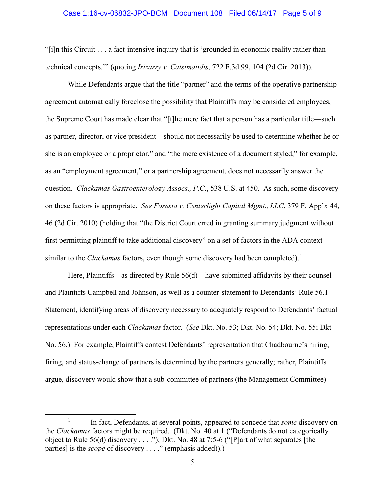#### Case 1:16-cv-06832-JPO-BCM Document 108 Filed 06/14/17 Page 5 of 9

"[i]n this Circuit . . . a fact-intensive inquiry that is 'grounded in economic reality rather than technical concepts.'" (quoting *Irizarry v. Catsimatidis*, 722 F.3d 99, 104 (2d Cir. 2013)).

While Defendants argue that the title "partner" and the terms of the operative partnership agreement automatically foreclose the possibility that Plaintiffs may be considered employees, the Supreme Court has made clear that "[t]he mere fact that a person has a particular title—such as partner, director, or vice president—should not necessarily be used to determine whether he or she is an employee or a proprietor," and "the mere existence of a document styled," for example, as an "employment agreement," or a partnership agreement, does not necessarily answer the question. *Clackamas Gastroenterology Assocs., P.C*., 538 U.S. at 450. As such, some discovery on these factors is appropriate. *See Foresta v. Centerlight Capital Mgmt., LLC*, 379 F. App'x 44, 46 (2d Cir. 2010) (holding that "the District Court erred in granting summary judgment without first permitting plaintiff to take additional discovery" on a set of factors in the ADA context similar to the *Clackamas* factors, even though some discovery had been completed).<sup>[1](#page-4-0)</sup>

Here, Plaintiffs—as directed by Rule 56(d)—have submitted affidavits by their counsel and Plaintiffs Campbell and Johnson, as well as a counter-statement to Defendants' Rule 56.1 Statement, identifying areas of discovery necessary to adequately respond to Defendants' factual representations under each *Clackamas* factor. (*See* Dkt. No. 53; Dkt. No. 54; Dkt. No. 55; Dkt No. 56.) For example, Plaintiffs contest Defendants' representation that Chadbourne's hiring, firing, and status-change of partners is determined by the partners generally; rather, Plaintiffs argue, discovery would show that a sub-committee of partners (the Management Committee)

<span id="page-4-0"></span><sup>&</sup>lt;u>1</u> In fact, Defendants, at several points, appeared to concede that *some* discovery on the *Clackamas* factors might be required. (Dkt. No. 40 at 1 ("Defendants do not categorically object to Rule 56(d) discovery  $\dots$  ."); Dkt. No. 48 at 7:5-6 ("[P]art of what separates [the parties] is the *scope* of discovery . . . ." (emphasis added)).)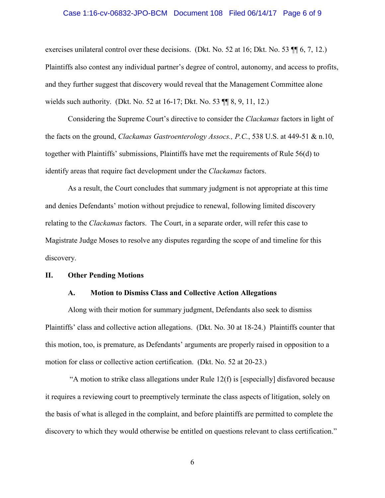#### Case 1:16-cv-06832-JPO-BCM Document 108 Filed 06/14/17 Page 6 of 9

exercises unilateral control over these decisions. (Dkt. No. 52 at 16; Dkt. No. 53 ¶¶ 6, 7, 12.) Plaintiffs also contest any individual partner's degree of control, autonomy, and access to profits, and they further suggest that discovery would reveal that the Management Committee alone wields such authority. (Dkt. No. 52 at 16-17; Dkt. No. 53 ¶¶ 8, 9, 11, 12.)

Considering the Supreme Court's directive to consider the *Clackamas* factors in light of the facts on the ground, *Clackamas Gastroenterology Assocs., P.C.*, 538 U.S. at 449-51 & n.10, together with Plaintiffs' submissions, Plaintiffs have met the requirements of Rule 56(d) to identify areas that require fact development under the *Clackamas* factors.

As a result, the Court concludes that summary judgment is not appropriate at this time and denies Defendants' motion without prejudice to renewal, following limited discovery relating to the *Clackamas* factors. The Court, in a separate order, will refer this case to Magistrate Judge Moses to resolve any disputes regarding the scope of and timeline for this discovery.

#### **II. Other Pending Motions**

## **A. Motion to Dismiss Class and Collective Action Allegations**

Along with their motion for summary judgment, Defendants also seek to dismiss Plaintiffs' class and collective action allegations. (Dkt. No. 30 at 18-24.) Plaintiffs counter that this motion, too, is premature, as Defendants' arguments are properly raised in opposition to a motion for class or collective action certification. (Dkt. No. 52 at 20-23.)

"A motion to strike class allegations under Rule  $12(f)$  is [especially] disfavored because it requires a reviewing court to preemptively terminate the class aspects of litigation, solely on the basis of what is alleged in the complaint, and before plaintiffs are permitted to complete the discovery to which they would otherwise be entitled on questions relevant to class certification."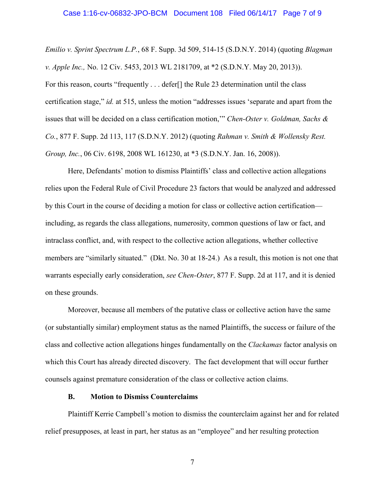#### Case 1:16-cv-06832-JPO-BCM Document 108 Filed 06/14/17 Page 7 of 9

*Emilio v. Sprint Spectrum L.P.*, 68 F. Supp. 3d 509, 514-15 (S.D.N.Y. 2014) (quoting *Blagman v. Apple Inc.,* No. 12 Civ. 5453, 2013 WL 2181709, at \*2 (S.D.N.Y. May 20, 2013)). For this reason, courts "frequently . . . defer[] the Rule 23 determination until the class certification stage," *id.* at 515, unless the motion "addresses issues 'separate and apart from the issues that will be decided on a class certification motion,'" *Chen-Oster v. Goldman, Sachs & Co.*, 877 F. Supp. 2d 113, 117 (S.D.N.Y. 2012) (quoting *Rahman v. Smith & Wollensky Rest. Group, Inc.*, 06 Civ. 6198, 2008 WL 161230, at \*3 (S.D.N.Y. Jan. 16, 2008)).

 Here, Defendants' motion to dismiss Plaintiffs' class and collective action allegations relies upon the Federal Rule of Civil Procedure 23 factors that would be analyzed and addressed by this Court in the course of deciding a motion for class or collective action certification including, as regards the class allegations, numerosity, common questions of law or fact, and intraclass conflict, and, with respect to the collective action allegations, whether collective members are "similarly situated." (Dkt. No. 30 at 18-24.) As a result, this motion is not one that warrants especially early consideration, *see Chen-Oster*, 877 F. Supp. 2d at 117, and it is denied on these grounds.

Moreover, because all members of the putative class or collective action have the same (or substantially similar) employment status as the named Plaintiffs, the success or failure of the class and collective action allegations hinges fundamentally on the *Clackamas* factor analysis on which this Court has already directed discovery. The fact development that will occur further counsels against premature consideration of the class or collective action claims.

## **B. Motion to Dismiss Counterclaims**

Plaintiff Kerrie Campbell's motion to dismiss the counterclaim against her and for related relief presupposes, at least in part, her status as an "employee" and her resulting protection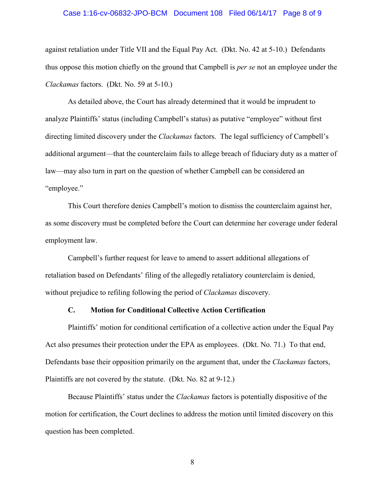#### Case 1:16-cv-06832-JPO-BCM Document 108 Filed 06/14/17 Page 8 of 9

against retaliation under Title VII and the Equal Pay Act. (Dkt. No. 42 at 5-10.) Defendants thus oppose this motion chiefly on the ground that Campbell is *per se* not an employee under the *Clackamas* factors. (Dkt. No. 59 at 5-10.)

As detailed above, the Court has already determined that it would be imprudent to analyze Plaintiffs' status (including Campbell's status) as putative "employee" without first directing limited discovery under the *Clackamas* factors. The legal sufficiency of Campbell's additional argument—that the counterclaim fails to allege breach of fiduciary duty as a matter of law—may also turn in part on the question of whether Campbell can be considered an "employee."

This Court therefore denies Campbell's motion to dismiss the counterclaim against her, as some discovery must be completed before the Court can determine her coverage under federal employment law.

Campbell's further request for leave to amend to assert additional allegations of retaliation based on Defendants' filing of the allegedly retaliatory counterclaim is denied, without prejudice to refiling following the period of *Clackamas* discovery.

## **C. Motion for Conditional Collective Action Certification**

Plaintiffs' motion for conditional certification of a collective action under the Equal Pay Act also presumes their protection under the EPA as employees. (Dkt. No. 71.) To that end, Defendants base their opposition primarily on the argument that, under the *Clackamas* factors, Plaintiffs are not covered by the statute. (Dkt. No. 82 at 9-12.)

Because Plaintiffs' status under the *Clackamas* factors is potentially dispositive of the motion for certification, the Court declines to address the motion until limited discovery on this question has been completed.